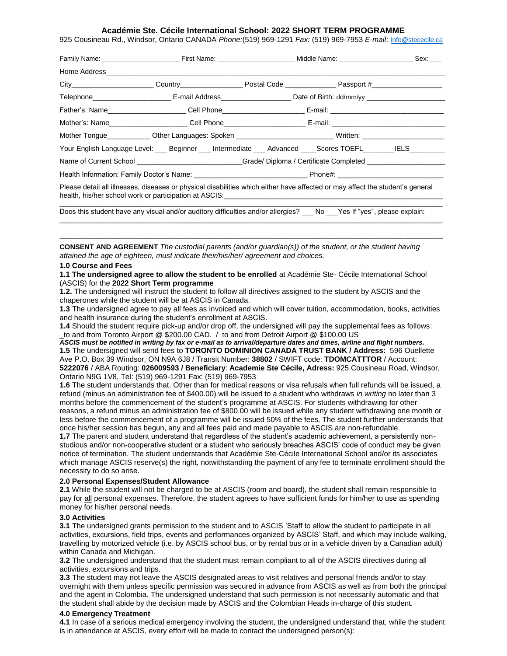#### **Académie Ste. Cécile International School: 2022 SHORT TERM PROGRAMME**

925 Cousineau Rd., Windsor, Ontario CANADA *Phone:*(519) 969-1291 *Fax:* (519) 969-7953 *E-mail*: [info@stececile.ca](mailto:info@stececile.ca)

| Father's: Name_______________________Cell Phone________________________E-mail: _______________________________                                                                                                                                                                                                                                                  |  |      |                               |
|-----------------------------------------------------------------------------------------------------------------------------------------------------------------------------------------------------------------------------------------------------------------------------------------------------------------------------------------------------------------|--|------|-------------------------------|
| Mother's: Name______________________Cell Phone_________________________E-mail: _______________________________                                                                                                                                                                                                                                                  |  |      |                               |
| Mother Tongue_____________Other Languages: Spoken ____________________________Written: _______________________                                                                                                                                                                                                                                                  |  |      |                               |
| Your English Language Level: Beginner Intermediate Advanced Scores TOEFL IELS                                                                                                                                                                                                                                                                                   |  |      |                               |
| Name of Current School _________________________Grade/Diploma / Certificate Completed _____________                                                                                                                                                                                                                                                             |  |      |                               |
| Health Information: Family Doctor's Name: Name and Controller Control of Phone#:                                                                                                                                                                                                                                                                                |  |      |                               |
| Please detail all illnesses, diseases or physical disabilities which either have affected or may affect the student's general<br>health, his/her school work or participation at ASCIS: Next and the state of the state of the state of the state of the state of the state of the state of the state of the state of the state of the state of the state of th |  |      |                               |
| Does this student have any visual and/or auditory difficulties and/or allergies?                                                                                                                                                                                                                                                                                |  | No l | Yes If "ves", please explain: |

**CONSENT AND AGREEMENT** *The custodial parents (and/or guardian(s)) of the student, or the student having attained the age of eighteen, must indicate their/his/her/ agreement and choices.* 

 $\Box$  . The contribution of the contribution of the contribution of the contribution of the contribution of the contribution of the contribution of the contribution of the contribution of the contribution of the contributi **\_\_\_\_\_\_\_\_\_\_\_\_\_\_\_\_\_\_\_\_\_\_\_\_\_\_\_\_\_\_\_\_\_\_\_\_\_\_\_\_\_\_\_\_\_\_\_\_\_\_\_\_\_\_\_\_\_\_\_\_\_\_\_\_\_\_\_\_\_\_\_\_\_\_\_\_\_\_\_\_\_\_\_\_\_\_\_\_\_\_\_\_\_\_\_\_\_\_** 

#### **1.0 Course and Fees**

**1.1 The undersigned agree to allow the student to be enrolled** at Académie Ste- Cécile International School (ASCIS) for the **2022 Short Term programme**

**1.2.** The undersigned will instruct the student to follow all directives assigned to the student by ASCIS and the chaperones while the student will be at ASCIS in Canada.

**1.3** The undersigned agree to pay all fees as invoiced and which will cover tuition, accommodation, books, activities and health insurance during the student's enrollment at ASCIS.

**1.4** Should the student require pick-up and/or drop off, the undersigned will pay the supplemental fees as follows: to and from Toronto Airport @ \$200.00 CAD. / to and from Detroit Airport @ \$100.00 US

*ASCIS must be notified in writing by fax or e-mail as to arrival/departure dates and times, airline and flight numbers.* **1.5** The undersigned will send fees to **TORONTO DOMINION CANADA TRUST BANK / Address:** 596 Ouellette Ave P.O. Box 39 Windsor, ON N9A 6J8 / Transit Number: **38802** / SWIFT code: **TDOMCATTTOR** / Account: **5222076** / ABA Routing: **026009593 / Beneficiary**: **Academie Ste Cécile, Adress:** 925 Cousineau Road, Windsor, Ontario N9G 1V8, Tel: (519) 969-1291 Fax: (519) 969-7953

**1.6** The student understands that. Other than for medical reasons or visa refusals when full refunds will be issued, a refund (minus an administration fee of \$400.00) will be issued to a student who withdraws *in writing* no later than 3 months before the commencement of the student's programme at ASCIS. For students withdrawing for other reasons, a refund minus an administration fee of \$800.00 will be issued while any student withdrawing one month or less before the commencement of a programme will be issued 50% of the fees. The student further understands that once his/her session has begun, any and all fees paid and made payable to ASCIS are non-refundable.

**1.7** The parent and student understand that regardless of the student's academic achievement, a persistently nonstudious and/or non-cooperative student or a student who seriously breaches ASCIS' code of conduct may be given notice of termination. The student understands that Académie Ste-Cécile International School and/or its associates which manage ASCIS reserve(s) the right, notwithstanding the payment of any fee to terminate enrollment should the necessity to do so arise.

#### **2.0 Personal Expenses/Student Allowance**

**2.1** While the student will not be charged to be at ASCIS (room and board), the student shall remain responsible to pay for all personal expenses. Therefore, the student agrees to have sufficient funds for him/her to use as spending money for his/her personal needs.

#### **3.0 Activities**

**3.1** The undersigned grants permission to the student and to ASCIS 'Staff to allow the student to participate in all activities, excursions, field trips, events and performances organized by ASCIS' Staff, and which may include walking, travelling by motorized vehicle (i.e. by ASCIS school bus, or by rental bus or in a vehicle driven by a Canadian adult) within Canada and Michigan.

**3.2** The undersigned understand that the student must remain compliant to all of the ASCIS directives during all activities, excursions and trips.

**3.3** The student may not leave the ASCIS designated areas to visit relatives and personal friends and/or to stay overnight with them unless specific permission was secured in advance from ASCIS as well as from both the principal and the agent in Colombia. The undersigned understand that such permission is not necessarily automatic and that the student shall abide by the decision made by ASCIS and the Colombian Heads in-charge of this student.

### **4.0 Emergency Treatment**

**4.1** In case of a serious medical emergency involving the student, the undersigned understand that, while the student is in attendance at ASCIS, every effort will be made to contact the undersigned person(s):